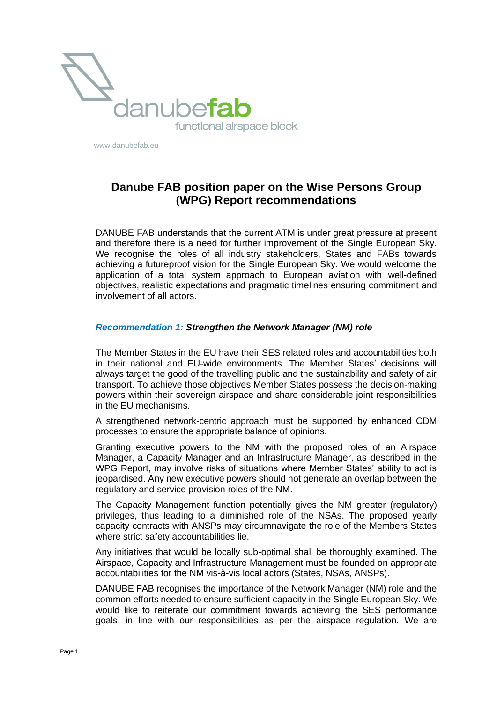

www.danubefab.eu

# **Danube FAB position paper on the Wise Persons Group (WPG) Report recommendations**

DANUBE FAB understands that the current ATM is under great pressure at present and therefore there is a need for further improvement of the Single European Sky. We recognise the roles of all industry stakeholders, States and FABs towards achieving a futureproof vision for the Single European Sky. We would welcome the application of a total system approach to European aviation with well-defined objectives, realistic expectations and pragmatic timelines ensuring commitment and involvement of all actors.

#### *Recommendation 1: Strengthen the Network Manager (NM) role*

The Member States in the EU have their SES related roles and accountabilities both in their national and EU-wide environments. The Member States' decisions will always target the good of the travelling public and the sustainability and safety of air transport. To achieve those objectives Member States possess the decision-making powers within their sovereign airspace and share considerable joint responsibilities in the EU mechanisms.

A strengthened network-centric approach must be supported by enhanced CDM processes to ensure the appropriate balance of opinions.

Granting executive powers to the NM with the proposed roles of an Airspace Manager, a Capacity Manager and an Infrastructure Manager, as described in the WPG Report, may involve risks of situations where Member States' ability to act is jeopardised. Any new executive powers should not generate an overlap between the regulatory and service provision roles of the NM.

The Capacity Management function potentially gives the NM greater (regulatory) privileges, thus leading to a diminished role of the NSAs. The proposed yearly capacity contracts with ANSPs may circumnavigate the role of the Members States where strict safety accountabilities lie.

Any initiatives that would be locally sub-optimal shall be thoroughly examined. The Airspace, Capacity and Infrastructure Management must be founded on appropriate accountabilities for the NM vis-à-vis local actors (States, NSAs, ANSPs).

DANUBE FAB recognises the importance of the Network Manager (NM) role and the common efforts needed to ensure sufficient capacity in the Single European Sky. We would like to reiterate our commitment towards achieving the SES performance goals, in line with our responsibilities as per the airspace regulation. We are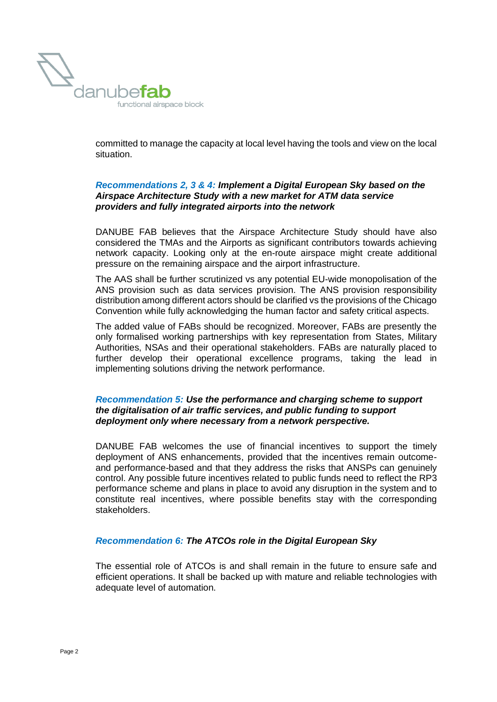

committed to manage the capacity at local level having the tools and view on the local situation.

#### *Recommendations 2, 3 & 4: Implement a Digital European Sky based on the Airspace Architecture Study with a new market for ATM data service providers and fully integrated airports into the network*

DANUBE FAB believes that the Airspace Architecture Study should have also considered the TMAs and the Airports as significant contributors towards achieving network capacity. Looking only at the en-route airspace might create additional pressure on the remaining airspace and the airport infrastructure.

The AAS shall be further scrutinized vs any potential EU-wide monopolisation of the ANS provision such as data services provision. The ANS provision responsibility distribution among different actors should be clarified vs the provisions of the Chicago Convention while fully acknowledging the human factor and safety critical aspects.

The added value of FABs should be recognized. Moreover, FABs are presently the only formalised working partnerships with key representation from States, Military Authorities, NSAs and their operational stakeholders. FABs are naturally placed to further develop their operational excellence programs, taking the lead in implementing solutions driving the network performance.

# *Recommendation 5: Use the performance and charging scheme to support the digitalisation of air traffic services, and public funding to support deployment only where necessary from a network perspective.*

DANUBE FAB welcomes the use of financial incentives to support the timely deployment of ANS enhancements, provided that the incentives remain outcomeand performance-based and that they address the risks that ANSPs can genuinely control. Any possible future incentives related to public funds need to reflect the RP3 performance scheme and plans in place to avoid any disruption in the system and to constitute real incentives, where possible benefits stay with the corresponding stakeholders.

# *Recommendation 6: The ATCOs role in the Digital European Sky*

The essential role of ATCOs is and shall remain in the future to ensure safe and efficient operations. It shall be backed up with mature and reliable technologies with adequate level of automation.